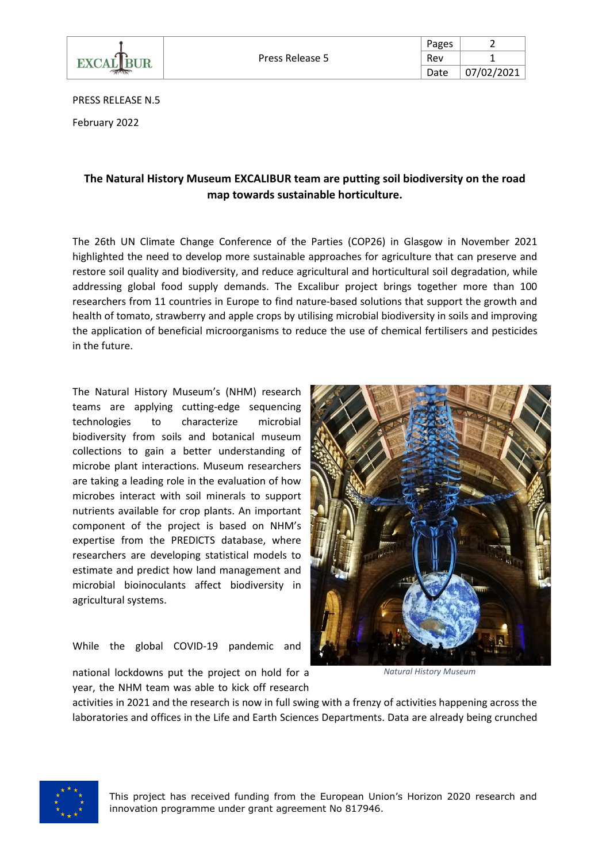

| Pages |            |
|-------|------------|
| Rev   |            |
| Date  | 07/02/2021 |

PRESS RELEASE N.5

February 2022

## **The Natural History Museum EXCALIBUR team are putting soil biodiversity on the road map towards sustainable horticulture.**

The 26th UN Climate Change Conference of the Parties (COP26) in Glasgow in November 2021 highlighted the need to develop more sustainable approaches for agriculture that can preserve and restore soil quality and biodiversity, and reduce agricultural and horticultural soil degradation, while addressing global food supply demands. The Excalibur project brings together more than 100 researchers from 11 countries in Europe to find nature-based solutions that support the growth and health of tomato, strawberry and apple crops by utilising microbial biodiversity in soils and improving the application of beneficial microorganisms to reduce the use of chemical fertilisers and pesticides in the future.

The Natural History Museum's (NHM) research teams are applying cutting-edge sequencing technologies to characterize microbial biodiversity from soils and botanical museum collections to gain a better understanding of microbe plant interactions. Museum researchers are taking a leading role in the evaluation of how microbes interact with soil minerals to support nutrients available for crop plants. An important component of the project is based on NHM's expertise from the PREDICTS database, where researchers are developing statistical models to estimate and predict how land management and microbial bioinoculants affect biodiversity in agricultural systems.

While the global COVID-19 pandemic and



*Natural History Museum*

national lockdowns put the project on hold for a year, the NHM team was able to kick off research

activities in 2021 and the research is now in full swing with a frenzy of activities happening across the laboratories and offices in the Life and Earth Sciences Departments. Data are already being crunched